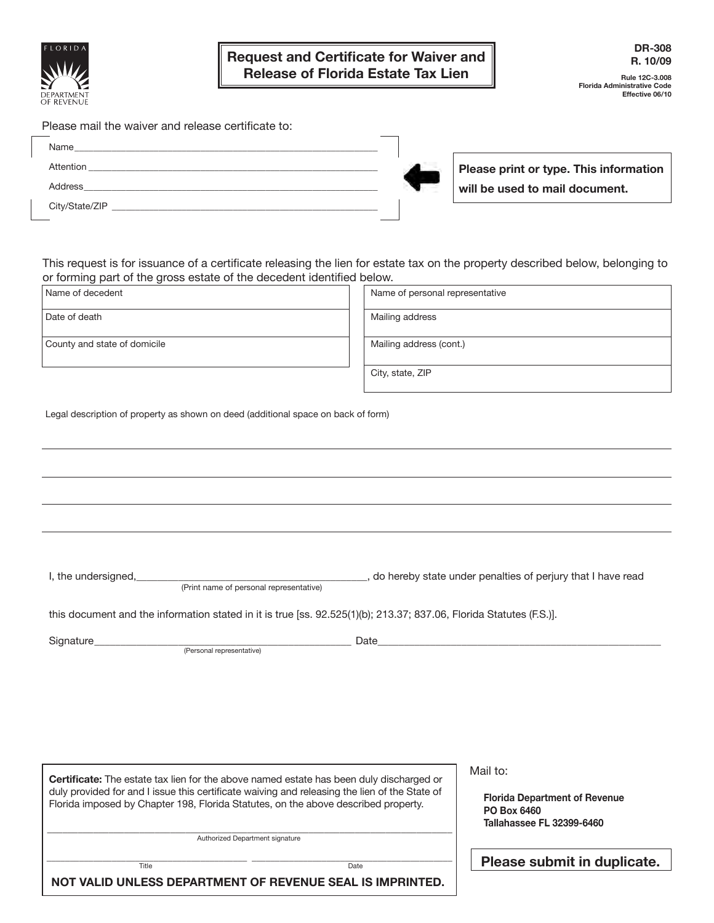

**Rule 12C-3.008 Florida Administrative Code Effective 06/10**

Please mail the waiver and release certificate to:

| Attention      |  |
|----------------|--|
| Address        |  |
| City/State/ZIP |  |

**Please print or type. This information will be used to mail document.**

This request is for issuance of a certificate releasing the lien for estate tax on the property described below, belonging to or forming part of the gross estate of the decedent identified below.

| Name of decedent                                                                                                                                                                         | Name of personal representative                                                         |  |
|------------------------------------------------------------------------------------------------------------------------------------------------------------------------------------------|-----------------------------------------------------------------------------------------|--|
| Date of death                                                                                                                                                                            | Mailing address                                                                         |  |
| County and state of domicile                                                                                                                                                             | Mailing address (cont.)                                                                 |  |
|                                                                                                                                                                                          | City, state, ZIP                                                                        |  |
| Legal description of property as shown on deed (additional space on back of form)                                                                                                        |                                                                                         |  |
|                                                                                                                                                                                          |                                                                                         |  |
|                                                                                                                                                                                          |                                                                                         |  |
|                                                                                                                                                                                          |                                                                                         |  |
|                                                                                                                                                                                          |                                                                                         |  |
| I, the undersigned, <i>(Print name of personal representative)</i>                                                                                                                       | do hereby state under penalties of perjury that I have read                             |  |
| this document and the information stated in it is true [ss. 92.525(1)(b); 213.37; 837.06, Florida Statutes (F.S.)].                                                                      |                                                                                         |  |
| Signature <b>Signature</b><br>(Personal representative)                                                                                                                                  | Date                                                                                    |  |
|                                                                                                                                                                                          |                                                                                         |  |
|                                                                                                                                                                                          |                                                                                         |  |
|                                                                                                                                                                                          |                                                                                         |  |
|                                                                                                                                                                                          |                                                                                         |  |
| Certificate: The estate tax lien for the above named estate has been duly discharged or<br>duly provided for and I issue this certificate waiving and releasing the lien of the State of | Mail to:                                                                                |  |
| Florida imposed by Chapter 198, Florida Statutes, on the above described property.                                                                                                       | <b>Florida Department of Revenue</b><br>PO Box 6460<br><b>Tallahassee FL 32399-6460</b> |  |
| Authorized Department signature                                                                                                                                                          |                                                                                         |  |
| Title<br>NOT VALID UNLESS DEPARTMENT OF REVENUE SEAL IS IMPRINTED.                                                                                                                       | Please submit in duplicate.<br>Date                                                     |  |
|                                                                                                                                                                                          |                                                                                         |  |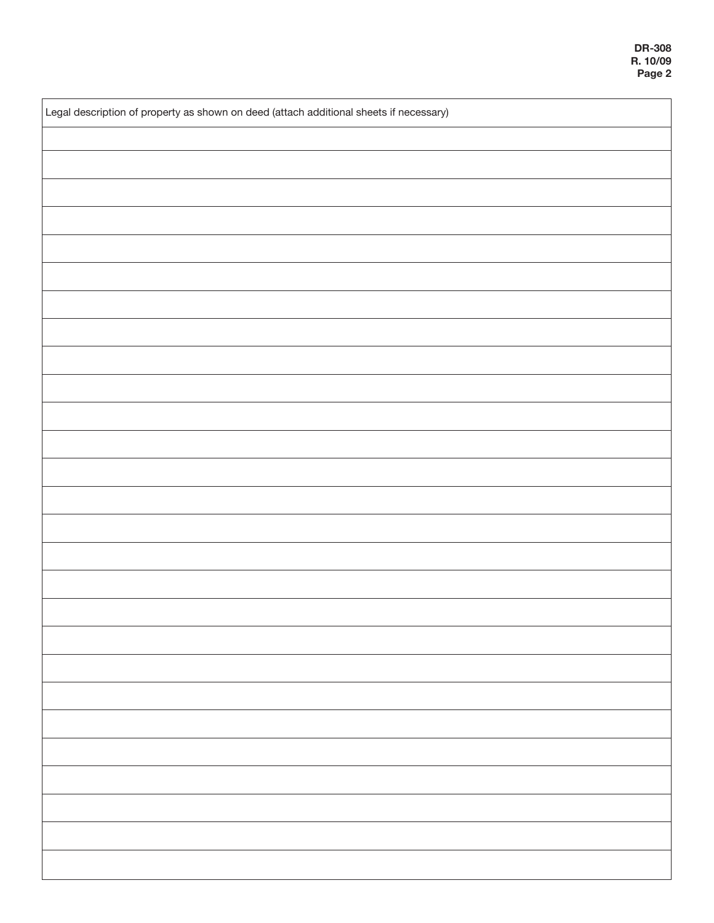| Legal description of property as shown on deed (attach additional sheets if necessary) |  |  |
|----------------------------------------------------------------------------------------|--|--|
|                                                                                        |  |  |
|                                                                                        |  |  |
|                                                                                        |  |  |
|                                                                                        |  |  |
|                                                                                        |  |  |
|                                                                                        |  |  |
|                                                                                        |  |  |
|                                                                                        |  |  |
|                                                                                        |  |  |
|                                                                                        |  |  |
|                                                                                        |  |  |
|                                                                                        |  |  |
|                                                                                        |  |  |
|                                                                                        |  |  |
|                                                                                        |  |  |
|                                                                                        |  |  |
|                                                                                        |  |  |
|                                                                                        |  |  |
|                                                                                        |  |  |
|                                                                                        |  |  |
|                                                                                        |  |  |
|                                                                                        |  |  |
|                                                                                        |  |  |
|                                                                                        |  |  |
|                                                                                        |  |  |
|                                                                                        |  |  |
|                                                                                        |  |  |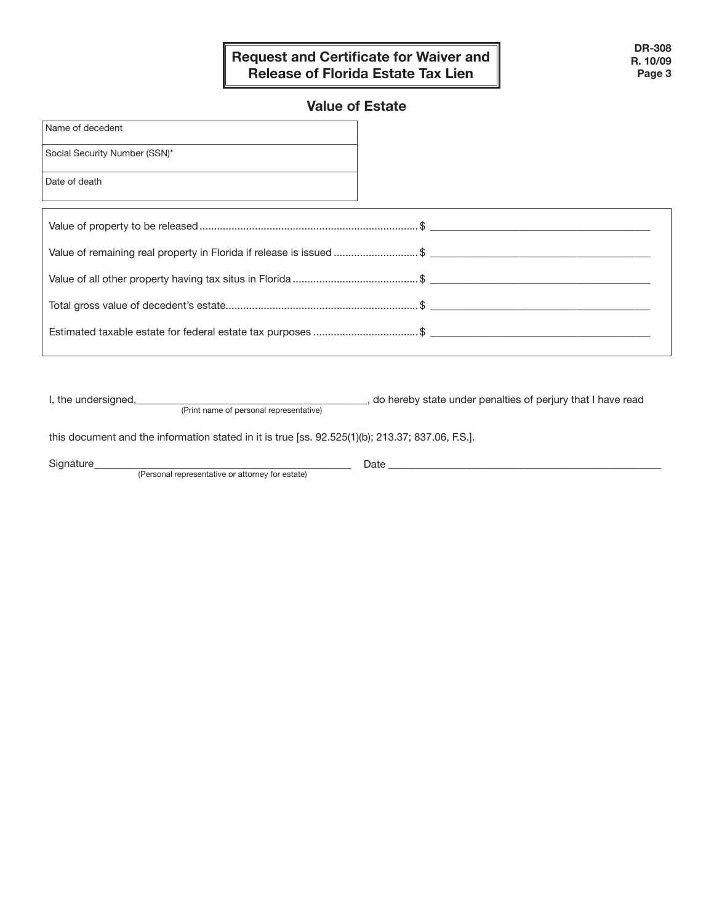### **Request and Certificate for Waiver and Release of Florida Estate Tax Lien**

### **Value of Estate**

| Name of decedent                                                    |  |
|---------------------------------------------------------------------|--|
| Social Security Number (SSN)*                                       |  |
| Date of death                                                       |  |
|                                                                     |  |
| Value of remaining real property in Florida if release is issued \$ |  |
|                                                                     |  |
|                                                                     |  |
| Estimated taxable estate for federal estate tax purposes \$         |  |
|                                                                     |  |

I, the undersigned, 1.1 and 10 and 200 and 200 and 200 and 200 and 200 and 200 and 200 and 200 and 200 and 200

this document and the information stated in it is true [ss. 92.525(1)(b); 213.37; 837.06, F.S.].

(Print name of personal representative)

Signature\_\_\_\_\_\_\_\_\_\_\_\_\_\_\_\_\_\_\_\_\_\_\_\_\_\_\_\_\_\_\_\_\_\_\_\_\_\_\_\_\_\_\_\_\_\_\_\_\_ Date \_\_\_\_\_\_\_\_\_\_\_\_\_\_\_\_\_\_\_\_\_\_\_\_\_\_\_\_\_\_\_\_\_\_\_\_\_\_\_\_\_\_\_\_\_\_\_\_\_\_\_\_

(Personal representative or attorney for estate)